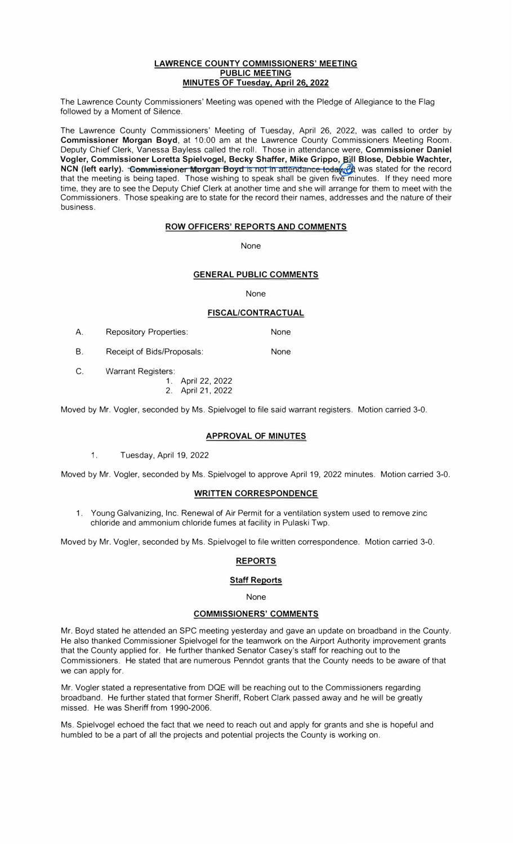#### **LAWRENCE COUNTY COMMISSIONERS' MEETING PUBLIC MEETING MINUTES OF Tuesday, April 26, 2022**

The Lawrence County Commissioners' Meeting was opened with the Pledge of Allegiance to the Flag followed by a Moment of Silence.

The Lawrence County Commissioners' Meeting of Tuesday, April 26, 2022, was called to order by **Commissioner Morgan Boyd,** at 10:00 am at the Lawrence County Commissioners Meeting Room. Deputy Chief Clerk, Vanessa Bayless called the roll. Those in attendance were, **Commissioner Daniel**  Vogler, Commissioner Loretta Spielvogel, Becky Shaffer, Mike Grippo, **Bill Blose, Debbie Wachter,** ، **NCN (left early). <del>Commissioner Morgan Boyd is not in attendance today (2</del>0 was stated for the record** that the meeting is being taped. Those wishing to speak shall be given five minutes. If they need more time, they are to see the Deputy Chief Clerk at another time and she will arrange for them to meet with the Commissioners. Those speaking are to state for the record their names, addresses and the nature of their business.

#### **ROW OFFICERS' REPORTS AND COMMENTS**

**None** 

#### **GENERAL PUBLIC COMMENTS**

None

#### **FISCAL/CONTRACTUAL**

None

- A. Repository Properties:
- B. Receipt of Bids/Proposals: None
- C. Warrant Registers:
	- 1. April 22, 2022
	- 2. April 21, 2022

Moved by Mr. Vogler, seconded by Ms. Spielvogel to file said warrant registers. Motion carried 3-0.

#### **APPROVAL OF MINUTES**

1. Tuesday, April 19, 2022

Moved by Mr. Vogler, seconded by Ms. Spielvogel to approve April 19, 2022 minutes. Motion carried 3-0.

#### **WRITTEN CORRESPONDENCE**

1. Young Galvanizing, Inc. Renewal of Air Permit for a ventilation system used to remove zinc chloride and ammonium chloride fumes at facility in Pulaski Twp.

Moved by Mr. Vogler, seconded by Ms. Spielvogel to file written correspondence. Motion carried 3-0.

#### **REPORTS**

#### **Staff Reports**

None

### **COMMISSIONERS' COMMENTS**

Mr. Boyd stated he attended an SPC meeting yesterday and gave an update on broadband in the County. He also thanked Commissioner Spielvogel for the teamwork on the Airport Authority improvement grants that the County applied for. He further thanked Senator Casey's staff for reaching out to the Commissioners. He stated that are numerous Penndot grants that the County needs to be aware of that we can apply for.

Mr. Vogler stated a representative from DQE will be reaching out to the Commissioners regarding broadband. He further stated that former Sheriff, Robert Clark passed away and he will be greatly missed. He was Sheriff from 1990-2006.

Ms. Spielvogel echoed the fact that we need to reach out and apply for grants and she is hopeful and humbled to be a part of all the projects and potential projects the County is working on.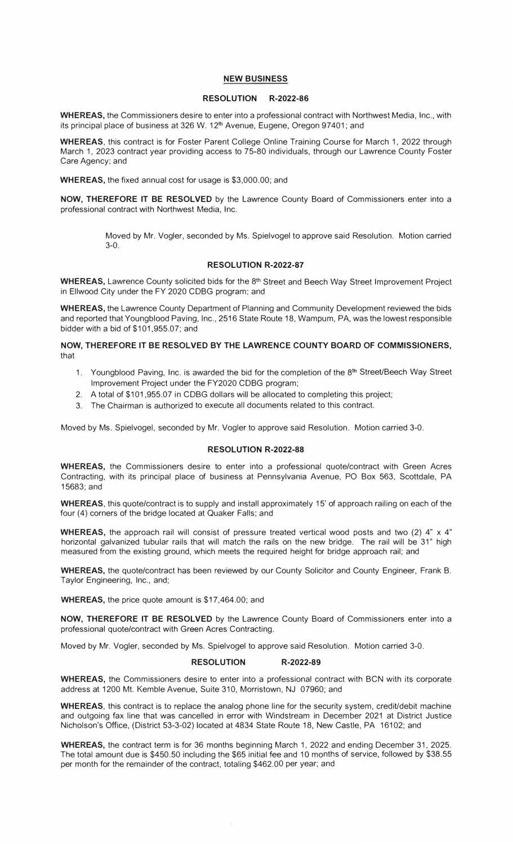#### **NEW BUSINESS**

#### **RESOLUTION R-2022-86**

**WHEREAS,** the Commissioners desire to enter into a professional contract with Northwest Media, Inc., with its principal place of business at 326 W. 12<sup>th</sup> Avenue, Eugene, Oregon 97401; and

**WHEREAS,** this contract is for Foster Parent College Online Training Course for March 1, 2022 through March 1, 2023 contract year providing access to 75-80 individuals, through our Lawrence County Foster Care Agency; and

**WHEREAS,** the fixed annual cost for usage is \$3,000.00; and

**NOW, THEREFORE IT BE RESOLVED** by the Lawrence County Board of Commissioners enter into a professional contract with Northwest Media, Inc.

> Moved by Mr. Vogler, seconded by Ms. Spielvogel to approve said Resolution. Motion carried 3-0.

#### **RESOLUTION R-2022-87**

**WHEREAS,** Lawrence County solicited bids for the 8<sup>th</sup> Street and Beech Way Street Improvement Project in Ellwood City under the FY 2020 CDBG program; and

**WHEREAS,** the Lawrence County Department of Planning and Community Development reviewed the bids and reported that Youngblood Paving, Inc., 2516 State Route 18, Wampum, PA, was the lowest responsible bidder with a bid of \$101,955.07; and

#### **NOW, THEREFORE IT BE RESOLVED BY THE LAWRENCE COUNTY BOARD OF COMMISSIONERS,**  that

- 1. Youngblood Paving, Inc. is awarded the bid for the completion of the 8<sup>th</sup> Street/Beech Way Street Improvement Project under the FY2020 CDBG program;
- 2. A total of \$101,955.07 in CDBG dollars will be allocated to completing this project;
- 3. The Chairman is authorized to execute all documents related to this contract.

Moved by Ms. Spielvogel, seconded by Mr. Vogler to approve said Resolution. Motion carried 3-0.

#### **RESOLUTION R-2022-88**

**WHEREAS,** the Commissioners desire to enter into a professional quote/contract with Green Acres Contracting, with its principal place of business at Pennsylvania Avenue, PO Box 563, Scottdale, PA 15683;and

**WHEREAS,** this quote/contract is to supply and install approximately 15' of approach railing on each of the four (4) corners of the bridge located at Quaker Falls; and

WHEREAS, the approach rail will consist of pressure treated vertical wood posts and two (2) 4" x 4" horizontal galvanized tubular rails that will match the rails on the new bridge. The rail will be 31" high measured from the existing ground, which meets the required height for bridge approach rail; and

**WHEREAS,** the quote/contract has been reviewed by our County Solicitor and County Engineer, Frank B. Taylor Engineering, Inc., and;

**WHEREAS,** the price quote amount is \$17,464.00; and

**NOW, THEREFORE IT BE RESOLVED** by the Lawrence County Board of Commissioners enter into a professional quote/contract with Green Acres Contracting.

Moved by Mr. Vogler, seconded by Ms. Spielvogel to approve said Resolution. Motion carried 3-0.

#### **RESOLUTION R-2022-89**

**WHEREAS,** the Commissioners desire to enter into a professional contract with BCN with its corporate address at 1200 Mt. Kemble Avenue, Suite 310, Morristown, NJ 07960; and

WHEREAS, this contract is to replace the analog phone line for the security system, credit/debit machine and outgoing fax line that was cancelled in error with Windstream in December 2021 at District Justice Nicholson's Office, (District 53-3-02) located at 4834 State Route 18, New Castle, PA 16102; and

**WHEREAS,** the contract term is for 36 months beginning March 1, 2022 and ending December 31, 2025. The total amount due is \$450.50 including the \$65 initial fee and 10 months of service, followed by \$38.55 per month for the remainder of the contract, totaling \$462.00 per year; and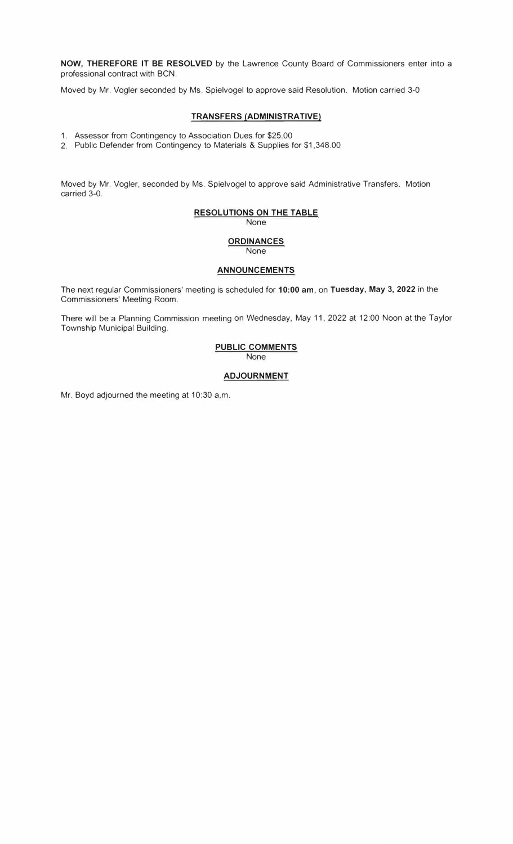**NOW, THEREFORE IT BE RESOLVED** by the Lawrence County Board of Commissioners enter into a professional contract with BCN.

Moved by Mr. Vogler seconded by Ms. Spielvogel to approve said Resolution. Motion carried 3-0

#### **TRANSFERS (ADMINISTRATIVE)**

1. Assessor from Contingency to Association Dues for \$25.00

2. Public Defender from Contingency to Materials & Supplies for \$1,348.00

Moved by Mr. Vogler, seconded by Ms. Spielvogel to approve said Administrative Transfers. Motion carried 3-0.

### **RESOLUTIONS ON THE TABLE**

None

#### **ORDINANCES** None

#### **ANNOUNCEMENTS**

The next regular Commissioners' meeting is scheduled for **10:00 am, on Tuesday, May 3, 2022** in the Commissioners' Meeting Room.

There will be a Planning Commission meeting on Wednesday, May 11, 2022 at 12:00 Noon at the Taylor Township Municipal Building.

## **PUBLIC COMMENTS**

None

#### **ADJOURNMENT**

Mr. Boyd adjourned the meeting at 10:30 a.m.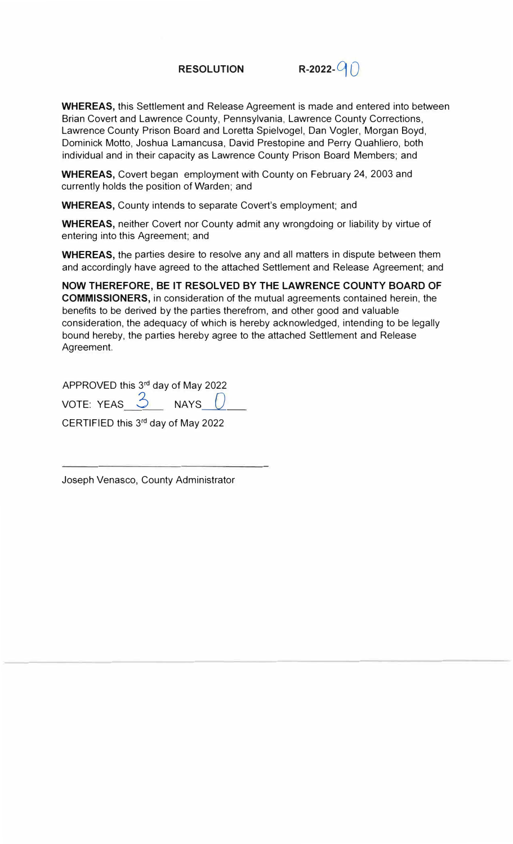

**WHEREAS,** this Settlement and Release Agreement is made and entered into between Brian Covert and Lawrence County, Pennsylvania, Lawrence County Corrections, Lawrence County Prison Board and Loretta Spielvogel, Dan Vogler, Morgan Boyd, Dominick Motto, Joshua Lamancusa, David Prestopine and Perry Quahliero, both individual and in their capacity as Lawrence County Prison Board Members; and

**WHEREAS,** Covert began employment with County on February 24, 2003 and currently holds the position of Warden; and

**WHEREAS,** County intends to separate Covert's employment; and

**WHEREAS,** neither Covert nor County admit any wrongdoing or liability by virtue of entering into this Agreement; and

**WHEREAS,** the parties desire to resolve any and all matters in dispute between them and accordingly have agreed to the attached Settlement and Release Agreement; and

**NOW THEREFORE, BE IT RESOLVED BY THE LAWRENCE COUNTY BOARD OF COMMISSIONERS,** in consideration of the mutual agreements contained herein, the benefits to be derived by the parties therefrom, and other good and valuable consideration, the adequacy of which is hereby acknowledged, intending to be legally bound hereby, the parties hereby agree to the attached Settlement and Release Agreement.

APPROVED this 3<sup>rd</sup> day of May 2022 VOTE: YEAS  $\frac{3}{2}$  NAYS  $\boxed{)}$ 

CERTIFIED this 3<sup>rd</sup> day of May 2022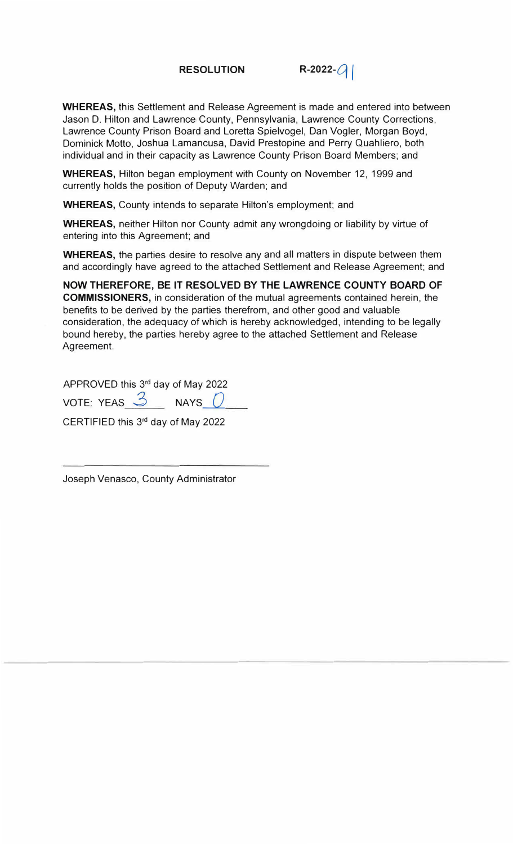**RESOLUTION** R-2022- $Q$ 

**WHEREAS,** this Settlement and Release Agreement is made and entered into between Jason D. Hilton and Lawrence County, Pennsylvania, Lawrence County Corrections, Lawrence County Prison Board and Loretta Spielvogel, Dan Vogler, Morgan Boyd, Dominick Motto, Joshua Lamancusa, David Prestopine and Perry Quahliero, both individual and in their capacity as Lawrence County Prison Board Members; and

**WHEREAS,** Hilton began employment with County on November 12, 1999 and currently holds the position of Deputy Warden; and

**WHEREAS,** County intends to separate Hilton's employment; and

**WHEREAS,** neither Hilton nor County admit any wrongdoing or liability by virtue of entering into this Agreement; and

**WHEREAS,** the parties desire to resolve any and all matters in dispute between them and accordingly have agreed to the attached Settlement and Release Agreement; and

**NOW THEREFORE, BE IT RESOLVED BY THE LAWRENCE COUNTY BOARD OF COMMISSIONERS,** in consideration of the mutual agreements contained herein, the benefits to be derived by the parties therefrom, and other good and valuable consideration, the adequacy of which is hereby acknowledged, intending to be legally bound hereby, the parties hereby agree to the attached Settlement and Release Agreement.

APPROVED this 3<sup>rd</sup> day of May 2022 VOTE: YEAS <u>3</u> NAYS 0

CERTIFIED this 3 rd day of May 2022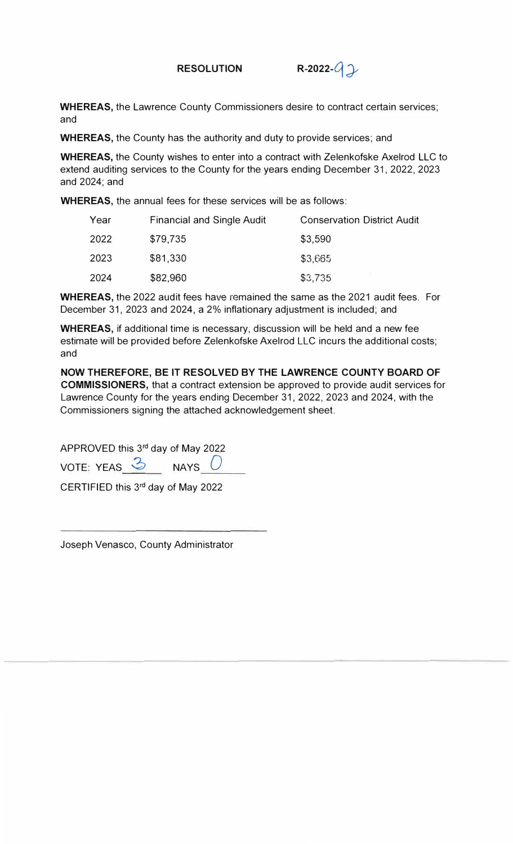

**WHEREAS,** the Lawrence County Commissioners desire to contract certain services; and

**WHEREAS,** the County has the authority and duty to provide services; and

**WHEREAS,** the County wishes to enter into a contract with Zelenkofske Axelrod LLC to extend auditing services to the County for the years ending December 31, 2022, 2023 and 2024; and

**WHEREAS,** the annual fees for these services will be as follows:

| Year | <b>Financial and Single Audit</b> | <b>Conservation District Audit</b> |
|------|-----------------------------------|------------------------------------|
| 2022 | \$79,735                          | \$3,590                            |
| 2023 | \$81,330                          | \$3,665                            |
| 2024 | \$82,960                          | \$3,735                            |

**WHEREAS,** the 2022 audit fees have remained the same as the 2021 audit fees. For December 31, 2023 and 2024, a 2% inflationary adjustment is included; and

**WHEREAS,** if additional time is necessary, discussion will be held and a new fee estimate will be provided before Zelenkofske Axelrod LLC incurs the additional costs; and

**NOW THEREFORE, BE IT RESOLVED BY THE LAWRENCE COUNTY BOARD OF COMMISSIONERS,** that a contract extension be approved to provide audit services for Lawrence County for the years ending December 31, 2022, 2023 and 2024, with the Commissioners signing the attached acknowledgement sheet.

APPROVED this 3<sup>rd</sup> day of May 2022

VOTE: YEAS  $\frac{3}{2}$  NAYS 0

CERTIFIED this 3<sup>rd</sup> day of May 2022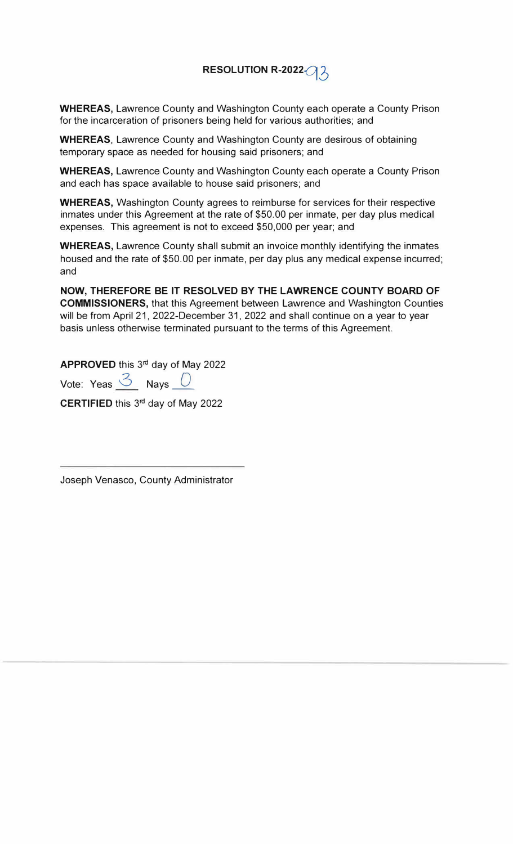# **RESOLUTION R-2022-q** *6*

**WHEREAS,** Lawrence County and Washington County each operate a County Prison for the incarceration of prisoners being held for various authorities; and

**WHEREAS,** Lawrence County and Washington County are desirous of obtaining temporary space as needed for housing said prisoners; and

**WHEREAS,** Lawrence County and Washington County each operate a County Prison and each has space available to house said prisoners; and

**WHEREAS,** Washington County agrees to reimburse for services for their respective inmates under this Agreement at the rate of \$50.00 per inmate, per day plus medical expenses. This agreement is not to exceed \$50,000 per year; and

**WHEREAS,** Lawrence County shall submit an invoice monthly identifying the inmates housed and the rate of \$50.00 per inmate, per day plus any medical expense incurred; and

**NOW, THEREFORE BE IT RESOLVED BY THE LAWRENCE COUNTY BOARD OF COMMISSIONERS,** that this Agreement between Lawrence and Washington Counties will be from April 21, 2022-December 31, 2022 and shall continue on a year to year basis unless otherwise terminated pursuant to the terms of this Agreement.

**APPROVED** this 3 rd day of May 2022

Vote: Yeas <sup>3</sup> Nays 0

CERTIFIED this 3<sup>rd</sup> day of May 2022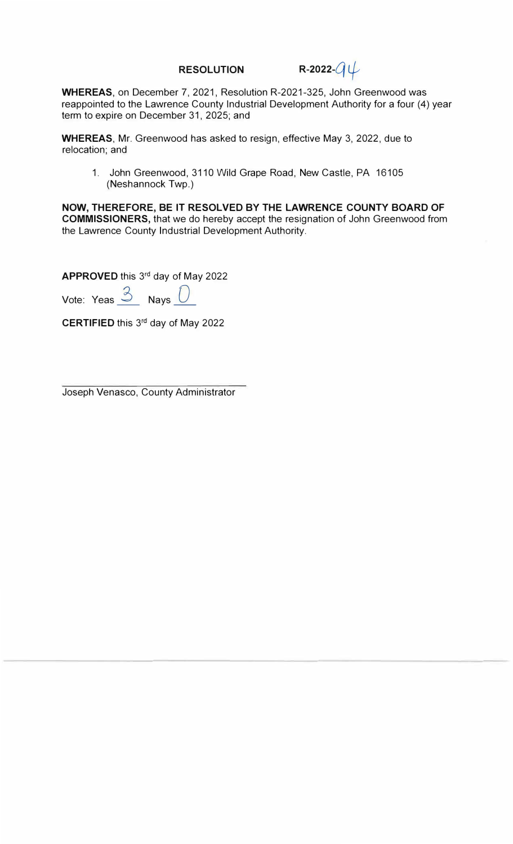**RESOLUTION** R-2022- $Q \psi$ 

**WHEREAS,** on December 7, 2021, Resolution R-2021-325, John Greenwood was reappointed to the Lawrence County Industrial Development Authority for a four (4) year term to expire on December 31, 2025; and

**WHEREAS,** Mr. Greenwood has asked to resign, effective May 3, 2022, due to relocation; and

1. John Greenwood, 3110 Wild Grape Road, New Castle, PA 16105 (Neshannock Twp.)

**NOW, THEREFORE, BE IT RESOLVED BY THE LAWRENCE COUNTY BOARD OF COMMISSIONERS,** that we do hereby accept the resignation of John Greenwood from the Lawrence County Industrial Development Authority.

**APPROVED** this 3<sup>rd</sup> day of May 2022

Vote: Yeas <sup>3</sup> Nays <sup>(</sup>

**CERTIFIED** this 3<sup>rd</sup> day of May 2022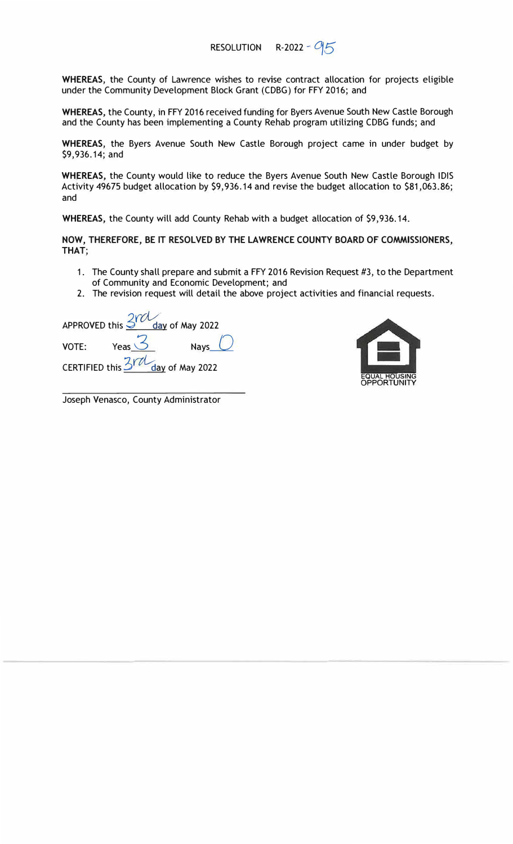**WHEREAS,** the County of Lawrence wishes to revise contract allocation for projects eligible under the Community Development Block Grant (CDBG) for FFY 2016; and

**WHEREAS,** the County, in FFY 2016 received funding for Byers Avenue South New Castle Borough and the County has been implementing a County Rehab program utilizing CDBG funds; and

**WHEREAS,** the Byers Avenue South New Castle Borough project came in under budget by \$9,936.14; and

**WHEREAS,** the County would like to reduce the Byers Avenue South New Castle Borough IDIS Activity 49675 budget allocation by \$9,936.14 and revise the budget allocation to \$81,063.86; and

**WHEREAS,** the County will add County Rehab with a budget allocation of \$9,936.14.

**NOW, THEREFORE, BE IT RESOLVED BY THE LAWRENCE COUNTY BOARD OF COMMISSIONERS, THAT;** 

- 1. The County shall prepare and submit a FFY 2016 Revision Request #3, to the Department of Community and Economic Development; and
- 2. The revision request will detail the above project activities and financial requests.

APPROVED this  $\frac{2 \text{vol}}{3}$  day of May 2022 VOTE: Yeas  $\overline{3}$  Nays  $\overline{0}$ CERTIFIED this 3rd day of May 2022